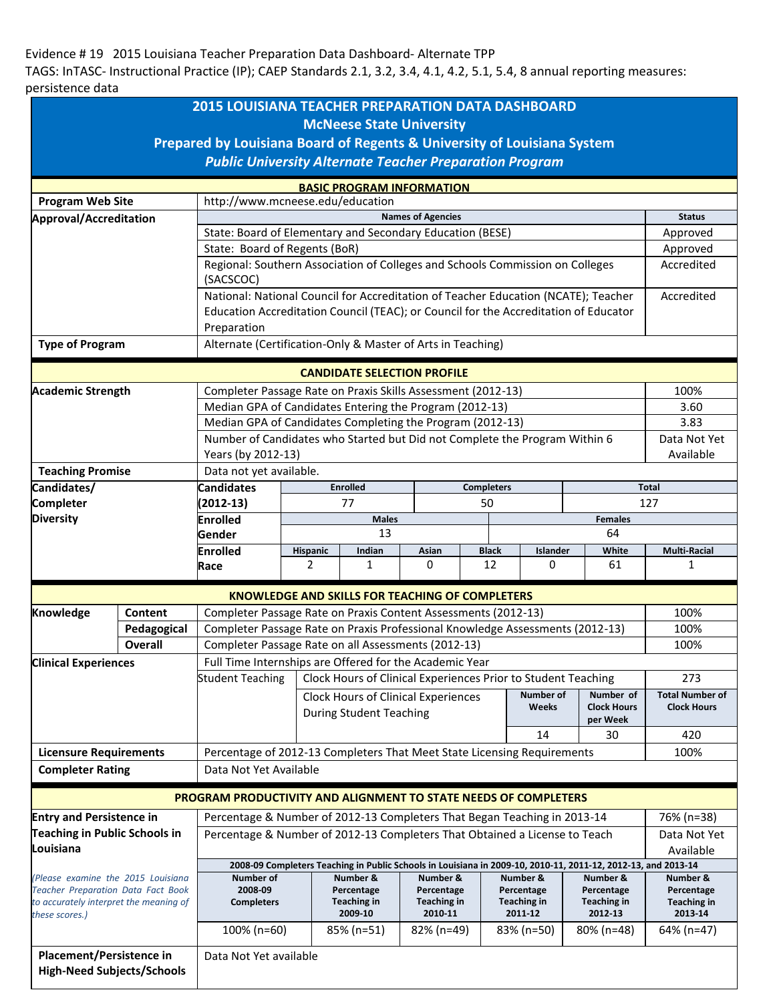## Evidence # 19 2015 Louisiana Teacher Preparation Data Dashboard- Alternate TPP

TAGS: InTASC- Instructional Practice (IP); CAEP Standards 2.1, 3.2, 3.4, 4.1, 4.2, 5.1, 5.4, 8 annual reporting measures: persistence data

| <b>2015 LOUISIANA TEACHER PREPARATION DATA DASHBOARD</b>                                                   |                                                                      |                                                                                                               |                                                                               |                        |                                                        |                   |                        |                        |                        |
|------------------------------------------------------------------------------------------------------------|----------------------------------------------------------------------|---------------------------------------------------------------------------------------------------------------|-------------------------------------------------------------------------------|------------------------|--------------------------------------------------------|-------------------|------------------------|------------------------|------------------------|
| <b>McNeese State University</b><br>Prepared by Louisiana Board of Regents & University of Louisiana System |                                                                      |                                                                                                               |                                                                               |                        |                                                        |                   |                        |                        |                        |
| <b>Public University Alternate Teacher Preparation Program</b>                                             |                                                                      |                                                                                                               |                                                                               |                        |                                                        |                   |                        |                        |                        |
|                                                                                                            |                                                                      |                                                                                                               |                                                                               |                        |                                                        |                   |                        |                        |                        |
| <b>Program Web Site</b>                                                                                    | <b>BASIC PROGRAM INFORMATION</b><br>http://www.mcneese.edu/education |                                                                                                               |                                                                               |                        |                                                        |                   |                        |                        |                        |
| Approval/Accreditation                                                                                     |                                                                      |                                                                                                               |                                                                               |                        | <b>Names of Agencies</b>                               |                   |                        |                        | <b>Status</b>          |
|                                                                                                            |                                                                      | State: Board of Elementary and Secondary Education (BESE)                                                     |                                                                               |                        |                                                        |                   |                        |                        | Approved               |
|                                                                                                            |                                                                      | State: Board of Regents (BoR)                                                                                 |                                                                               |                        |                                                        |                   |                        |                        | Approved               |
|                                                                                                            |                                                                      | Regional: Southern Association of Colleges and Schools Commission on Colleges                                 |                                                                               |                        |                                                        |                   |                        | Accredited             |                        |
|                                                                                                            |                                                                      | (SACSCOC)                                                                                                     |                                                                               |                        |                                                        |                   |                        |                        |                        |
|                                                                                                            |                                                                      | National: National Council for Accreditation of Teacher Education (NCATE); Teacher                            |                                                                               |                        |                                                        |                   |                        |                        | Accredited             |
|                                                                                                            |                                                                      | Education Accreditation Council (TEAC); or Council for the Accreditation of Educator                          |                                                                               |                        |                                                        |                   |                        |                        |                        |
|                                                                                                            |                                                                      | Preparation                                                                                                   |                                                                               |                        |                                                        |                   |                        |                        |                        |
| <b>Type of Program</b>                                                                                     |                                                                      | Alternate (Certification-Only & Master of Arts in Teaching)                                                   |                                                                               |                        |                                                        |                   |                        |                        |                        |
|                                                                                                            |                                                                      |                                                                                                               |                                                                               |                        | <b>CANDIDATE SELECTION PROFILE</b>                     |                   |                        |                        |                        |
| <b>Academic Strength</b>                                                                                   |                                                                      | Completer Passage Rate on Praxis Skills Assessment (2012-13)                                                  |                                                                               |                        |                                                        |                   |                        | 100%                   |                        |
|                                                                                                            |                                                                      | Median GPA of Candidates Entering the Program (2012-13)                                                       |                                                                               |                        |                                                        |                   |                        | 3.60                   |                        |
|                                                                                                            |                                                                      | Median GPA of Candidates Completing the Program (2012-13)                                                     |                                                                               |                        |                                                        |                   |                        | 3.83                   |                        |
|                                                                                                            |                                                                      | Number of Candidates who Started but Did not Complete the Program Within 6                                    |                                                                               |                        |                                                        |                   |                        | Data Not Yet           |                        |
|                                                                                                            |                                                                      | Years (by 2012-13)                                                                                            |                                                                               |                        |                                                        |                   |                        | Available              |                        |
| <b>Teaching Promise</b>                                                                                    |                                                                      | Data not yet available.                                                                                       |                                                                               |                        |                                                        |                   |                        |                        |                        |
| Candidates/                                                                                                |                                                                      | <b>Candidates</b>                                                                                             |                                                                               | <b>Enrolled</b>        |                                                        | <b>Completers</b> |                        |                        | Total                  |
| <b>Completer</b>                                                                                           |                                                                      | $(2012-13)$                                                                                                   |                                                                               | 77                     |                                                        | 50                |                        |                        | 127                    |
| <b>Diversity</b>                                                                                           |                                                                      | <b>Enrolled</b>                                                                                               | <b>Males</b><br><b>Females</b>                                                |                        |                                                        |                   |                        |                        |                        |
|                                                                                                            |                                                                      | Gender                                                                                                        | 13<br>64                                                                      |                        |                                                        |                   |                        |                        |                        |
|                                                                                                            |                                                                      | <b>Enrolled</b>                                                                                               | Hispanic                                                                      | Indian                 | Asian                                                  | <b>Black</b>      | Islander               | White                  | Multi-Racial           |
|                                                                                                            |                                                                      | Race                                                                                                          | $\overline{2}$                                                                | 1                      | 0                                                      | 12                | 0                      | 61                     | 1                      |
|                                                                                                            |                                                                      |                                                                                                               |                                                                               |                        | <b>KNOWLEDGE AND SKILLS FOR TEACHING OF COMPLETERS</b> |                   |                        |                        |                        |
| Knowledge                                                                                                  | Content                                                              | Completer Passage Rate on Praxis Content Assessments (2012-13)                                                |                                                                               |                        |                                                        |                   |                        | 100%                   |                        |
|                                                                                                            | Pedagogical                                                          |                                                                                                               | Completer Passage Rate on Praxis Professional Knowledge Assessments (2012-13) |                        |                                                        |                   |                        |                        | 100%                   |
|                                                                                                            | <b>Overall</b>                                                       | Completer Passage Rate on all Assessments (2012-13)                                                           |                                                                               |                        |                                                        |                   |                        |                        | 100%                   |
| <b>Clinical Experiences</b>                                                                                |                                                                      | Full Time Internships are Offered for the Academic Year                                                       |                                                                               |                        |                                                        |                   |                        |                        |                        |
|                                                                                                            |                                                                      | Clock Hours of Clinical Experiences Prior to Student Teaching<br><b>Student Teaching</b>                      |                                                                               |                        |                                                        |                   |                        | 273                    |                        |
|                                                                                                            |                                                                      |                                                                                                               | Number of<br>Number of<br>Clock Hours of Clinical Experiences                 |                        |                                                        |                   |                        | <b>Total Number of</b> |                        |
|                                                                                                            |                                                                      |                                                                                                               | Weeks<br><b>During Student Teaching</b>                                       |                        |                                                        |                   |                        | <b>Clock Hours</b>     | <b>Clock Hours</b>     |
| <b>Licensure Requirements</b>                                                                              |                                                                      |                                                                                                               |                                                                               |                        |                                                        |                   | per Week               | 420                    |                        |
|                                                                                                            |                                                                      | 14<br>30                                                                                                      |                                                                               |                        |                                                        |                   |                        |                        |                        |
|                                                                                                            |                                                                      | 100%<br>Percentage of 2012-13 Completers That Meet State Licensing Requirements<br>Data Not Yet Available     |                                                                               |                        |                                                        |                   |                        |                        |                        |
| <b>Completer Rating</b>                                                                                    |                                                                      |                                                                                                               |                                                                               |                        |                                                        |                   |                        |                        |                        |
|                                                                                                            |                                                                      | PROGRAM PRODUCTIVITY AND ALIGNMENT TO STATE NEEDS OF COMPLETERS                                               |                                                                               |                        |                                                        |                   |                        |                        |                        |
| <b>Entry and Persistence in</b>                                                                            |                                                                      | Percentage & Number of 2012-13 Completers That Began Teaching in 2013-14                                      |                                                                               |                        |                                                        |                   |                        | 76% (n=38)             |                        |
| <b>Teaching in Public Schools in</b>                                                                       |                                                                      | Percentage & Number of 2012-13 Completers That Obtained a License to Teach                                    |                                                                               |                        |                                                        |                   |                        | Data Not Yet           |                        |
| Louisiana                                                                                                  |                                                                      |                                                                                                               |                                                                               |                        |                                                        |                   |                        | Available              |                        |
|                                                                                                            |                                                                      | 2008-09 Completers Teaching in Public Schools in Louisiana in 2009-10, 2010-11, 2011-12, 2012-13, and 2013-14 |                                                                               |                        |                                                        |                   |                        |                        |                        |
| (Please examine the 2015 Louisiana<br><b>Teacher Preparation Data Fact Book</b>                            |                                                                      | Number of<br>2008-09                                                                                          |                                                                               | Number &<br>Percentage | Number &<br>Percentage                                 |                   | Number &<br>Percentage | Number &<br>Percentage | Number &<br>Percentage |
| to accurately interpret the meaning of                                                                     |                                                                      | <b>Completers</b>                                                                                             |                                                                               | <b>Teaching in</b>     | <b>Teaching in</b>                                     |                   | <b>Teaching in</b>     | <b>Teaching in</b>     | <b>Teaching in</b>     |
| these scores.)                                                                                             |                                                                      |                                                                                                               |                                                                               | 2009-10                | 2010-11                                                |                   | 2011-12                | 2012-13                | 2013-14                |
|                                                                                                            |                                                                      | 100% (n=60)                                                                                                   |                                                                               | 85% (n=51)             | 82% (n=49)                                             |                   | 83% (n=50)             | 80% (n=48)             | 64% (n=47)             |
| Placement/Persistence in                                                                                   |                                                                      | Data Not Yet available                                                                                        |                                                                               |                        |                                                        |                   |                        |                        |                        |
| <b>High-Need Subjects/Schools</b>                                                                          |                                                                      |                                                                                                               |                                                                               |                        |                                                        |                   |                        |                        |                        |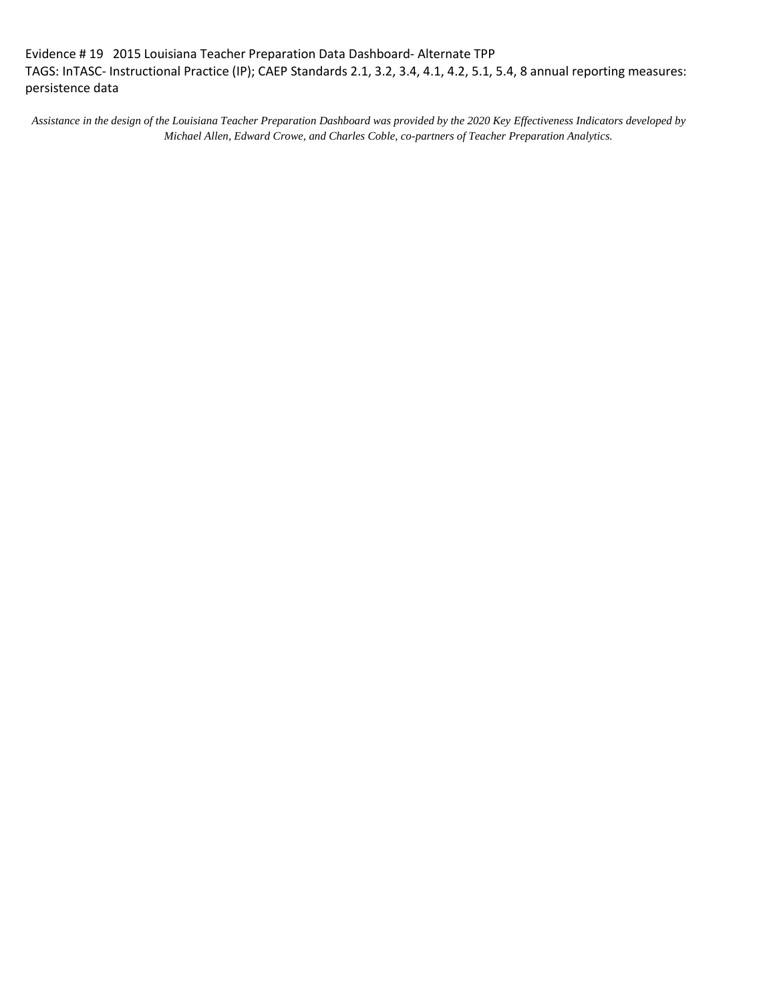Evidence # 19 2015 Louisiana Teacher Preparation Data Dashboard- Alternate TPP TAGS: InTASC- Instructional Practice (IP); CAEP Standards 2.1, 3.2, 3.4, 4.1, 4.2, 5.1, 5.4, 8 annual reporting measures: persistence data

*Assistance in the design of the Louisiana Teacher Preparation Dashboard was provided by the 2020 Key Effectiveness Indicators developed by Michael Allen, Edward Crowe, and Charles Coble, co-partners of Teacher Preparation Analytics.*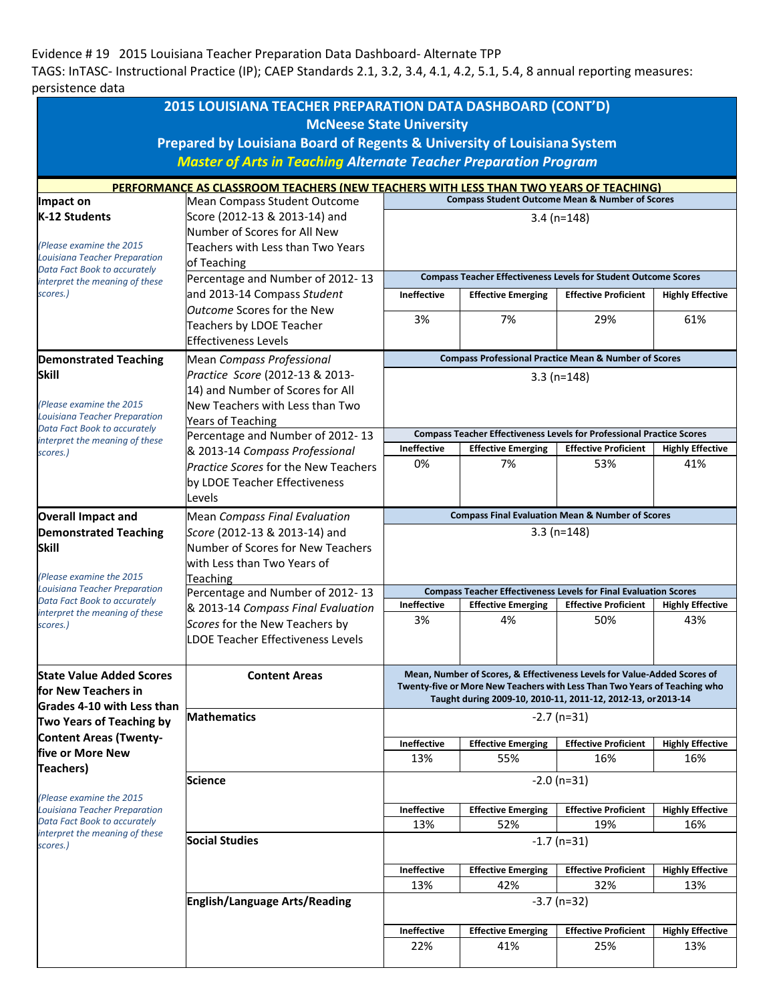## Evidence # 19 2015 Louisiana Teacher Preparation Data Dashboard- Alternate TPP

TAGS: InTASC- Instructional Practice (IP); CAEP Standards 2.1, 3.2, 3.4, 4.1, 4.2, 5.1, 5.4, 8 annual reporting measures: persistence data

|                                                                      | 2015 LOUISIANA TEACHER PREPARATION DATA DASHBOARD (CONT'D)                                                            |                                                                                                           |                                  |                                                                              |                                |  |  |  |
|----------------------------------------------------------------------|-----------------------------------------------------------------------------------------------------------------------|-----------------------------------------------------------------------------------------------------------|----------------------------------|------------------------------------------------------------------------------|--------------------------------|--|--|--|
|                                                                      | <b>McNeese State University</b>                                                                                       |                                                                                                           |                                  |                                                                              |                                |  |  |  |
|                                                                      | Prepared by Louisiana Board of Regents & University of Louisiana System                                               |                                                                                                           |                                  |                                                                              |                                |  |  |  |
|                                                                      | <b>Master of Arts in Teaching Alternate Teacher Preparation Program</b>                                               |                                                                                                           |                                  |                                                                              |                                |  |  |  |
|                                                                      | PERFORMANCE AS CLASSROOM TEACHERS (NEW TEACHERS WITH LESS THAN TWO YEARS OF TEACHING)<br>Mean Compass Student Outcome |                                                                                                           |                                  |                                                                              |                                |  |  |  |
| Impact on                                                            | <b>Compass Student Outcome Mean &amp; Number of Scores</b>                                                            |                                                                                                           |                                  |                                                                              |                                |  |  |  |
| K-12 Students                                                        | Score (2012-13 & 2013-14) and                                                                                         | $3.4$ (n=148)                                                                                             |                                  |                                                                              |                                |  |  |  |
| (Please examine the 2015                                             | Number of Scores for All New<br>Teachers with Less than Two Years                                                     |                                                                                                           |                                  |                                                                              |                                |  |  |  |
| Louisiana Teacher Preparation                                        | of Teaching                                                                                                           |                                                                                                           |                                  |                                                                              |                                |  |  |  |
| Data Fact Book to accurately<br>interpret the meaning of these       | Percentage and Number of 2012-13                                                                                      | <b>Compass Teacher Effectiveness Levels for Student Outcome Scores</b>                                    |                                  |                                                                              |                                |  |  |  |
| scores.)                                                             | and 2013-14 Compass Student                                                                                           | <b>Ineffective</b><br><b>Effective Emerging</b><br><b>Effective Proficient</b><br><b>Highly Effective</b> |                                  |                                                                              |                                |  |  |  |
|                                                                      | <i><b>Outcome Scores for the New</b></i>                                                                              | 3%                                                                                                        | 7%                               | 29%                                                                          | 61%                            |  |  |  |
|                                                                      | Teachers by LDOE Teacher                                                                                              |                                                                                                           |                                  |                                                                              |                                |  |  |  |
|                                                                      | <b>Effectiveness Levels</b>                                                                                           |                                                                                                           |                                  |                                                                              |                                |  |  |  |
| <b>Demonstrated Teaching</b>                                         | Mean Compass Professional                                                                                             | <b>Compass Professional Practice Mean &amp; Number of Scores</b>                                          |                                  |                                                                              |                                |  |  |  |
| <b>Skill</b>                                                         | Practice Score (2012-13 & 2013-<br>14) and Number of Scores for All                                                   |                                                                                                           |                                  | $3.3(n=148)$                                                                 |                                |  |  |  |
| (Please examine the 2015)                                            | New Teachers with Less than Two                                                                                       |                                                                                                           |                                  |                                                                              |                                |  |  |  |
| <b>Louisiana Teacher Preparation</b>                                 | <b>Years of Teaching</b>                                                                                              |                                                                                                           |                                  |                                                                              |                                |  |  |  |
| Data Fact Book to accurately<br>interpret the meaning of these       | Percentage and Number of 2012-13                                                                                      |                                                                                                           |                                  | <b>Compass Teacher Effectiveness Levels for Professional Practice Scores</b> |                                |  |  |  |
| scores.)                                                             | & 2013-14 Compass Professional                                                                                        | <b>Ineffective</b>                                                                                        | <b>Effective Emerging</b>        | <b>Effective Proficient</b>                                                  | <b>Highly Effective</b>        |  |  |  |
|                                                                      | Practice Scores for the New Teachers                                                                                  | 0%                                                                                                        | 7%                               | 53%                                                                          | 41%                            |  |  |  |
|                                                                      | by LDOE Teacher Effectiveness                                                                                         |                                                                                                           |                                  |                                                                              |                                |  |  |  |
|                                                                      | Levels                                                                                                                |                                                                                                           |                                  |                                                                              |                                |  |  |  |
| <b>Overall Impact and</b>                                            | <b>Mean Compass Final Evaluation</b><br>Score (2012-13 & 2013-14) and                                                 | <b>Compass Final Evaluation Mean &amp; Number of Scores</b>                                               |                                  |                                                                              |                                |  |  |  |
| <b>Demonstrated Teaching</b><br>Skill                                | Number of Scores for New Teachers                                                                                     | $3.3(n=148)$                                                                                              |                                  |                                                                              |                                |  |  |  |
|                                                                      | with Less than Two Years of                                                                                           |                                                                                                           |                                  |                                                                              |                                |  |  |  |
| (Please examine the 2015                                             | Teaching                                                                                                              |                                                                                                           |                                  |                                                                              |                                |  |  |  |
| <b>Louisiana Teacher Preparation</b><br>Data Fact Book to accurately | Percentage and Number of 2012-13                                                                                      | <b>Compass Teacher Effectiveness Levels for Final Evaluation Scores</b>                                   |                                  |                                                                              |                                |  |  |  |
| interpret the meaning of these                                       | & 2013-14 Compass Final Evaluation                                                                                    | <b>Ineffective</b><br>3%                                                                                  | <b>Effective Emerging</b><br>4%  | <b>Effective Proficient</b><br>50%                                           | <b>Highly Effective</b><br>43% |  |  |  |
| scores.)                                                             | Scores for the New Teachers by<br><b>LDOE Teacher Effectiveness Levels</b>                                            |                                                                                                           |                                  |                                                                              |                                |  |  |  |
|                                                                      |                                                                                                                       |                                                                                                           |                                  |                                                                              |                                |  |  |  |
|                                                                      |                                                                                                                       | Mean, Number of Scores, & Effectiveness Levels for Value-Added Scores of                                  |                                  |                                                                              |                                |  |  |  |
| <b>State Value Added Scores</b><br>for New Teachers in               | <b>Content Areas</b>                                                                                                  | Twenty-five or More New Teachers with Less Than Two Years of Teaching who                                 |                                  |                                                                              |                                |  |  |  |
| <b>Grades 4-10 with Less than</b>                                    |                                                                                                                       | Taught during 2009-10, 2010-11, 2011-12, 2012-13, or 2013-14                                              |                                  |                                                                              |                                |  |  |  |
| Two Years of Teaching by                                             | <b>Mathematics</b>                                                                                                    | $-2.7$ (n=31)                                                                                             |                                  |                                                                              |                                |  |  |  |
| <b>Content Areas (Twenty-</b>                                        |                                                                                                                       | <b>Effective Proficient</b><br><b>Ineffective</b><br><b>Effective Emerging</b><br><b>Highly Effective</b> |                                  |                                                                              |                                |  |  |  |
| five or More New                                                     |                                                                                                                       | 13%                                                                                                       | 55%                              | 16%                                                                          | 16%                            |  |  |  |
| <b>Teachers</b> )                                                    | <b>Science</b>                                                                                                        |                                                                                                           |                                  | $-2.0$ (n=31)                                                                |                                |  |  |  |
| (Please examine the 2015                                             |                                                                                                                       |                                                                                                           |                                  |                                                                              |                                |  |  |  |
| Louisiana Teacher Preparation                                        |                                                                                                                       | Ineffective                                                                                               | <b>Effective Emerging</b>        | <b>Effective Proficient</b>                                                  | <b>Highly Effective</b>        |  |  |  |
| Data Fact Book to accurately<br>interpret the meaning of these       |                                                                                                                       | 13%                                                                                                       | 52%                              | 19%                                                                          | 16%                            |  |  |  |
| scores.)                                                             | <b>Social Studies</b>                                                                                                 | $-1.7$ (n=31)                                                                                             |                                  |                                                                              |                                |  |  |  |
|                                                                      |                                                                                                                       | Ineffective                                                                                               | <b>Effective Emerging</b>        | <b>Effective Proficient</b>                                                  | <b>Highly Effective</b>        |  |  |  |
|                                                                      |                                                                                                                       | 13%                                                                                                       | 42%                              | 32%                                                                          | 13%                            |  |  |  |
|                                                                      | English/Language Arts/Reading                                                                                         | $-3.7$ (n=32)                                                                                             |                                  |                                                                              |                                |  |  |  |
|                                                                      |                                                                                                                       |                                                                                                           |                                  |                                                                              |                                |  |  |  |
|                                                                      |                                                                                                                       | Ineffective<br>22%                                                                                        | <b>Effective Emerging</b><br>41% | <b>Effective Proficient</b><br>25%                                           | <b>Highly Effective</b><br>13% |  |  |  |
|                                                                      |                                                                                                                       |                                                                                                           |                                  |                                                                              |                                |  |  |  |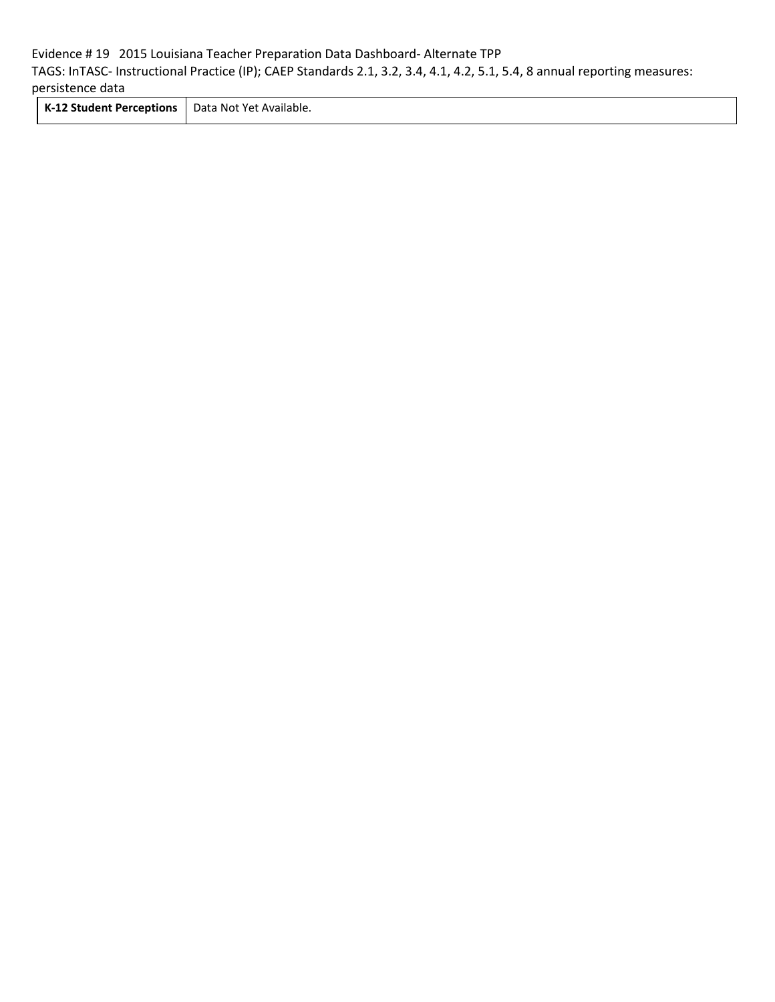## Evidence # 19 2015 Louisiana Teacher Preparation Data Dashboard- Alternate TPP TAGS: InTASC- Instructional Practice (IP); CAEP Standards 2.1, 3.2, 3.4, 4.1, 4.2, 5.1, 5.4, 8 annual reporting measures: persistence data

**K-12 Student Perceptions** Data Not Yet Available.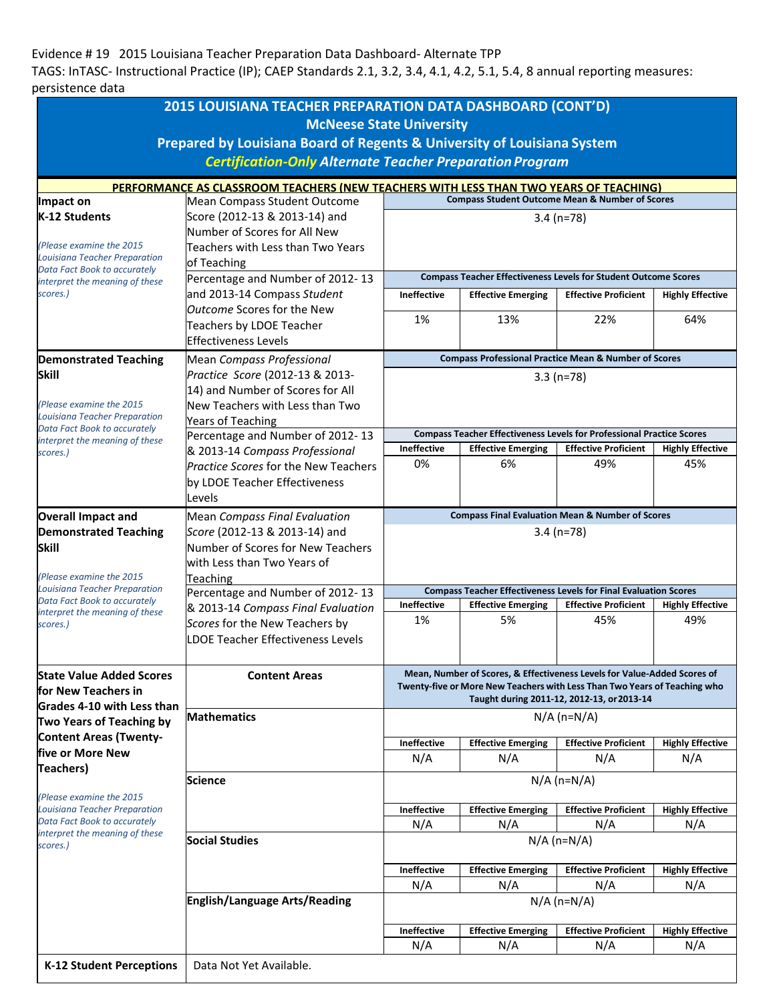## Evidence # 19 2015 Louisiana Teacher Preparation Data Dashboard- Alternate TPP

TAGS: InTASC- Instructional Practice (IP); CAEP Standards 2.1, 3.2, 3.4, 4.1, 4.2, 5.1, 5.4, 8 annual reporting measures: persistence data

|                                                                      | 2015 LOUISIANA TEACHER PREPARATION DATA DASHBOARD (CONT'D)                            |                                                                                                                                              |                                                                              |                             |                         |  |  |
|----------------------------------------------------------------------|---------------------------------------------------------------------------------------|----------------------------------------------------------------------------------------------------------------------------------------------|------------------------------------------------------------------------------|-----------------------------|-------------------------|--|--|
|                                                                      | <b>McNeese State University</b>                                                       |                                                                                                                                              |                                                                              |                             |                         |  |  |
|                                                                      | Prepared by Louisiana Board of Regents & University of Louisiana System               |                                                                                                                                              |                                                                              |                             |                         |  |  |
|                                                                      |                                                                                       |                                                                                                                                              |                                                                              |                             |                         |  |  |
|                                                                      | <b>Certification-Only Alternate Teacher Preparation Program</b>                       |                                                                                                                                              |                                                                              |                             |                         |  |  |
|                                                                      | PERFORMANCE AS CLASSROOM TEACHERS (NEW TEACHERS WITH LESS THAN TWO YEARS OF TEACHING) |                                                                                                                                              |                                                                              |                             |                         |  |  |
| Impact on                                                            | Mean Compass Student Outcome                                                          | <b>Compass Student Outcome Mean &amp; Number of Scores</b>                                                                                   |                                                                              |                             |                         |  |  |
| K-12 Students                                                        | Score (2012-13 & 2013-14) and                                                         | $3.4 (n=78)$                                                                                                                                 |                                                                              |                             |                         |  |  |
|                                                                      | Number of Scores for All New                                                          |                                                                                                                                              |                                                                              |                             |                         |  |  |
| (Please examine the 2015)                                            | Teachers with Less than Two Years                                                     |                                                                                                                                              |                                                                              |                             |                         |  |  |
| <b>Louisiana Teacher Preparation</b><br>Data Fact Book to accurately | of Teaching                                                                           |                                                                                                                                              |                                                                              |                             |                         |  |  |
| interpret the meaning of these                                       | Percentage and Number of 2012-13                                                      | <b>Compass Teacher Effectiveness Levels for Student Outcome Scores</b>                                                                       |                                                                              |                             |                         |  |  |
| scores.)                                                             | and 2013-14 Compass Student                                                           | <b>Ineffective</b>                                                                                                                           | <b>Effective Emerging</b>                                                    | <b>Effective Proficient</b> | <b>Highly Effective</b> |  |  |
|                                                                      | <b>Outcome Scores for the New</b>                                                     | 1%                                                                                                                                           | 13%                                                                          | 22%                         | 64%                     |  |  |
|                                                                      | Teachers by LDOE Teacher                                                              |                                                                                                                                              |                                                                              |                             |                         |  |  |
|                                                                      | <b>Effectiveness Levels</b>                                                           |                                                                                                                                              |                                                                              |                             |                         |  |  |
| <b>Demonstrated Teaching</b>                                         | Mean Compass Professional                                                             |                                                                                                                                              | <b>Compass Professional Practice Mean &amp; Number of Scores</b>             |                             |                         |  |  |
| <b>Skill</b>                                                         | Practice Score (2012-13 & 2013-                                                       | $3.3(n=78)$                                                                                                                                  |                                                                              |                             |                         |  |  |
|                                                                      | 14) and Number of Scores for All                                                      |                                                                                                                                              |                                                                              |                             |                         |  |  |
| (Please examine the 2015)                                            | New Teachers with Less than Two                                                       |                                                                                                                                              |                                                                              |                             |                         |  |  |
| <b>Louisiana Teacher Preparation</b><br>Data Fact Book to accurately | <b>Years of Teaching</b>                                                              |                                                                                                                                              |                                                                              |                             |                         |  |  |
| interpret the meaning of these                                       | Percentage and Number of 2012-13                                                      |                                                                                                                                              | <b>Compass Teacher Effectiveness Levels for Professional Practice Scores</b> |                             |                         |  |  |
| scores.)                                                             | & 2013-14 Compass Professional                                                        | <b>Ineffective</b>                                                                                                                           | <b>Effective Emerging</b>                                                    | <b>Effective Proficient</b> | <b>Highly Effective</b> |  |  |
|                                                                      | Practice Scores for the New Teachers                                                  | 0%                                                                                                                                           | 6%                                                                           | 49%                         | 45%                     |  |  |
|                                                                      | by LDOE Teacher Effectiveness                                                         |                                                                                                                                              |                                                                              |                             |                         |  |  |
|                                                                      | Levels                                                                                |                                                                                                                                              |                                                                              |                             |                         |  |  |
| <b>Overall Impact and</b>                                            | Mean Compass Final Evaluation<br>Score (2012-13 & 2013-14) and                        | <b>Compass Final Evaluation Mean &amp; Number of Scores</b>                                                                                  |                                                                              |                             |                         |  |  |
| <b>Demonstrated Teaching</b>                                         |                                                                                       | $3.4$ (n=78)                                                                                                                                 |                                                                              |                             |                         |  |  |
| <b>Skill</b>                                                         | Number of Scores for New Teachers                                                     |                                                                                                                                              |                                                                              |                             |                         |  |  |
|                                                                      | with Less than Two Years of                                                           |                                                                                                                                              |                                                                              |                             |                         |  |  |
| (Please examine the 2015)                                            | Teaching                                                                              |                                                                                                                                              |                                                                              |                             |                         |  |  |
| <b>Louisiana Teacher Preparation</b><br>Data Fact Book to accurately | Percentage and Number of 2012-13                                                      |                                                                                                                                              | <b>Compass Teacher Effectiveness Levels for Final Evaluation Scores</b>      |                             |                         |  |  |
| interpret the meaning of these                                       | & 2013-14 Compass Final Evaluation                                                    | Ineffective                                                                                                                                  | <b>Effective Emerging</b>                                                    | <b>Effective Proficient</b> | <b>Highly Effective</b> |  |  |
| scores.)                                                             | Scores for the New Teachers by                                                        | 1%                                                                                                                                           | 5%                                                                           | 45%                         | 49%                     |  |  |
|                                                                      | <b>LDOE Teacher Effectiveness Levels</b>                                              |                                                                                                                                              |                                                                              |                             |                         |  |  |
|                                                                      |                                                                                       |                                                                                                                                              |                                                                              |                             |                         |  |  |
| <b>State Value Added Scores</b>                                      | <b>Content Areas</b>                                                                  | Mean, Number of Scores, & Effectiveness Levels for Value-Added Scores of                                                                     |                                                                              |                             |                         |  |  |
| for New Teachers in                                                  | <b>Mathematics</b>                                                                    | Twenty-five or More New Teachers with Less Than Two Years of Teaching who<br>Taught during 2011-12, 2012-13, or 2013-14<br>$N/A$ (n= $N/A$ ) |                                                                              |                             |                         |  |  |
| Grades 4-10 with Less than                                           |                                                                                       |                                                                                                                                              |                                                                              |                             |                         |  |  |
| Two Years of Teaching by                                             |                                                                                       |                                                                                                                                              |                                                                              |                             |                         |  |  |
| <b>Content Areas (Twenty-</b>                                        |                                                                                       | Ineffective                                                                                                                                  | <b>Effective Emerging</b>                                                    | <b>Effective Proficient</b> | <b>Highly Effective</b> |  |  |
| five or More New                                                     |                                                                                       | N/A                                                                                                                                          | N/A                                                                          | N/A                         | N/A                     |  |  |
| <b>Teachers)</b>                                                     |                                                                                       |                                                                                                                                              |                                                                              |                             |                         |  |  |
|                                                                      | <b>Science</b>                                                                        | $N/A$ (n= $N/A$ )                                                                                                                            |                                                                              |                             |                         |  |  |
| (Please examine the 2015)<br><b>Louisiana Teacher Preparation</b>    |                                                                                       | Ineffective                                                                                                                                  | <b>Effective Emerging</b>                                                    | <b>Effective Proficient</b> | <b>Highly Effective</b> |  |  |
| Data Fact Book to accurately                                         |                                                                                       | N/A                                                                                                                                          | N/A                                                                          | N/A                         | N/A                     |  |  |
| interpret the meaning of these                                       | <b>Social Studies</b>                                                                 |                                                                                                                                              |                                                                              |                             |                         |  |  |
| scores.)                                                             |                                                                                       | $N/A$ (n=N/A)                                                                                                                                |                                                                              |                             |                         |  |  |
|                                                                      |                                                                                       | Ineffective                                                                                                                                  | <b>Effective Emerging</b>                                                    | <b>Effective Proficient</b> | <b>Highly Effective</b> |  |  |
|                                                                      |                                                                                       | N/A                                                                                                                                          | N/A                                                                          | N/A                         | N/A                     |  |  |
|                                                                      | English/Language Arts/Reading                                                         | $N/A$ (n= $N/A$ )                                                                                                                            |                                                                              |                             |                         |  |  |
|                                                                      |                                                                                       | Ineffective                                                                                                                                  | <b>Effective Emerging</b>                                                    | <b>Effective Proficient</b> | <b>Highly Effective</b> |  |  |
|                                                                      |                                                                                       | N/A                                                                                                                                          | N/A                                                                          | N/A                         | N/A                     |  |  |
|                                                                      |                                                                                       |                                                                                                                                              |                                                                              |                             |                         |  |  |
| <b>K-12 Student Perceptions</b>                                      | Data Not Yet Available.                                                               |                                                                                                                                              |                                                                              |                             |                         |  |  |